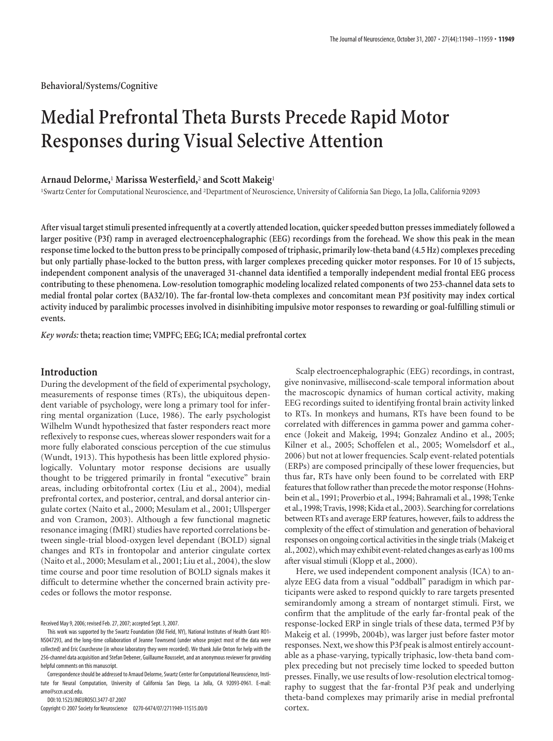**Behavioral/Systems/Cognitive**

# **Medial Prefrontal Theta Bursts Precede Rapid Motor Responses during Visual Selective Attention**

# **Arnaud Delorme,**<sup>1</sup> **Marissa Westerfield,**<sup>2</sup> **and Scott Makeig**<sup>1</sup>

<sup>1</sup>Swartz Center for Computational Neuroscience, and <sup>2</sup>Department of Neuroscience, University of California San Diego, La Jolla, California 92093

**After visual target stimuli presented infrequently at a covertly attended location, quicker speeded button presses immediately followed a larger positive (P3f) ramp in averaged electroencephalographic (EEG) recordings from the forehead. We show this peak in the mean response time locked to the button press to be principally composed of triphasic, primarily low-theta band (4.5 Hz) complexes preceding but only partially phase-locked to the button press, with larger complexes preceding quicker motor responses. For 10 of 15 subjects, independent component analysis of the unaveraged 31-channel data identified a temporally independent medial frontal EEG process contributing to these phenomena. Low-resolution tomographic modeling localized related components of two 253-channel data sets to medial frontal polar cortex (BA32/10). The far-frontal low-theta complexes and concomitant mean P3f positivity may index cortical activity induced by paralimbic processes involved in disinhibiting impulsive motor responses to rewarding or goal-fulfilling stimuli or events.**

*Key words:* **theta; reaction time; VMPFC; EEG; ICA; medial prefrontal cortex**

# **Introduction**

During the development of the field of experimental psychology, measurements of response times (RTs), the ubiquitous dependent variable of psychology, were long a primary tool for inferring mental organization (Luce, 1986). The early psychologist Wilhelm Wundt hypothesized that faster responders react more reflexively to response cues, whereas slower responders wait for a more fully elaborated conscious perception of the cue stimulus (Wundt, 1913). This hypothesis has been little explored physiologically. Voluntary motor response decisions are usually thought to be triggered primarily in frontal "executive" brain areas, including orbitofrontal cortex (Liu et al., 2004), medial prefrontal cortex, and posterior, central, and dorsal anterior cingulate cortex (Naito et al., 2000; Mesulam et al., 2001; Ullsperger and von Cramon, 2003). Although a few functional magnetic resonance imaging (fMRI) studies have reported correlations between single-trial blood-oxygen level dependant (BOLD) signal changes and RTs in frontopolar and anterior cingulate cortex (Naito et al., 2000; Mesulam et al., 2001; Liu et al., 2004), the slow time course and poor time resolution of BOLD signals makes it difficult to determine whether the concerned brain activity precedes or follows the motor response.

Received May 9, 2006; revised Feb. 27, 2007; accepted Sept. 3, 2007.

Correspondence should be addressed to Arnaud Delorme, Swartz Center for Computational Neuroscience, Institute for Neural Computation, University of California San Diego, La Jolla, CA 92093-0961. E-mail: arno@sccn.ucsd.edu.

DOI:10.1523/JNEUROSCI.3477-07.2007

Copyright © 2007 Society for Neuroscience 0270-6474/07/2711949-11\$15.00/0

Scalp electroencephalographic (EEG) recordings, in contrast, give noninvasive, millisecond-scale temporal information about the macroscopic dynamics of human cortical activity, making EEG recordings suited to identifying frontal brain activity linked to RTs. In monkeys and humans, RTs have been found to be correlated with differences in gamma power and gamma coherence (Jokeit and Makeig, 1994; Gonzalez Andino et al., 2005; Kilner et al., 2005; Schoffelen et al., 2005; Womelsdorf et al., 2006) but not at lower frequencies. Scalp event-related potentials (ERPs) are composed principally of these lower frequencies, but thus far, RTs have only been found to be correlated with ERP features that follow rather than precede the motor response (Hohnsbein et al., 1991; Proverbio et al., 1994; Bahramali et al., 1998; Tenke et al., 1998; Travis, 1998; Kida et al., 2003). Searchingfor correlations between RTs and average ERP features, however, fails to address the complexity of the effect of stimulation and generation of behavioral responses on ongoing cortical activities in the single trials (Makeig et al., 2002), which may exhibit event-related changes as early as 100 ms after visual stimuli (Klopp et al., 2000).

Here, we used independent component analysis (ICA) to analyze EEG data from a visual "oddball" paradigm in which participants were asked to respond quickly to rare targets presented semirandomly among a stream of nontarget stimuli. First, we confirm that the amplitude of the early far-frontal peak of the response-locked ERP in single trials of these data, termed P3f by Makeig et al. (1999b, 2004b), was larger just before faster motor responses. Next, we show this P3f peak is almost entirely accountable as a phase-varying, typically triphasic, low-theta band complex preceding but not precisely time locked to speeded button presses. Finally, we use results of low-resolution electrical tomography to suggest that the far-frontal P3f peak and underlying theta-band complexes may primarily arise in medial prefrontal cortex.

This work was supported by the Swartz Foundation (Old Field, NY), National Institutes of Health Grant RO1- NS047293, and the long-time collaboration of Jeanne Townsend (under whose project most of the data were collected) and Eric Courchesne (in whose laboratory they were recorded). We thank Julie Onton for help with the 256-channel data acquisition and Stefan Debener, Guillaume Rousselet, and an anonymous reviewer for providing helpful comments on this manuscript.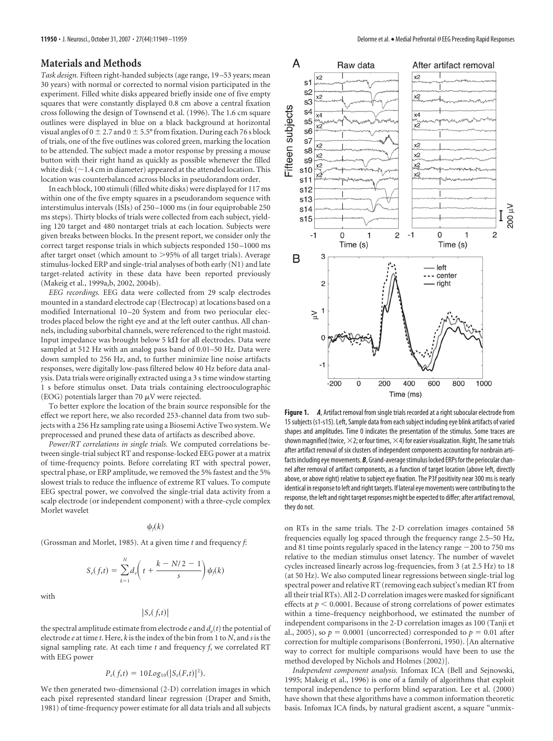## **Materials and Methods**

*Task design.* Fifteen right-handed subjects (age range, 19 –53 years; mean 30 years) with normal or corrected to normal vision participated in the experiment. Filled white disks appeared briefly inside one of five empty squares that were constantly displayed 0.8 cm above a central fixation cross following the design of Townsend et al. (1996). The 1.6 cm square outlines were displayed in blue on a black background at horizontal visual angles of  $0 \pm 2.7$  and  $0 \pm 5.5^{\circ}$  from fixation. During each 76 s block of trials, one of the five outlines was colored green, marking the location to be attended. The subject made a motor response by pressing a mouse button with their right hand as quickly as possible whenever the filled white disk (  $\sim$  1.4 cm in diameter) appeared at the attended location. This location was counterbalanced across blocks in pseudorandom order.

In each block, 100 stimuli (filled white disks) were displayed for 117 ms within one of the five empty squares in a pseudorandom sequence with interstimulus intervals (ISIs) of 250 –1000 ms (in four equiprobable 250 ms steps). Thirty blocks of trials were collected from each subject, yielding 120 target and 480 nontarget trials at each location. Subjects were given breaks between blocks. In the present report, we consider only the correct target response trials in which subjects responded 150 –1000 ms after target onset (which amount to 95% of all target trials). Average stimulus-locked ERP and single-trial analyses of both early (N1) and late target-related activity in these data have been reported previously (Makeig et al., 1999a,b, 2002, 2004b).

*EEG recordings.* EEG data were collected from 29 scalp electrodes mounted in a standard electrode cap (Electrocap) at locations based on a modified International 10 –20 System and from two periocular electrodes placed below the right eye and at the left outer canthus. All channels, including suborbital channels, were referenced to the right mastoid. Input impedance was brought below 5 k $\Omega$  for all electrodes. Data were sampled at 512 Hz with an analog pass band of 0.01–50 Hz. Data were down sampled to 256 Hz, and, to further minimize line noise artifacts responses, were digitally low-pass filtered below 40 Hz before data analysis. Data trials were originally extracted usinga3s time window starting 1 s before stimulus onset. Data trials containing electrooculographic (EOG) potentials larger than 70  $\mu$ V were rejected.

To better explore the location of the brain source responsible for the effect we report here, we also recorded 253-channel data from two subjects with a 256 Hz sampling rate using a Biosemi Active Two system. We preprocessed and pruned these data of artifacts as described above.

*Power/RT correlations in single trials.* We computed correlations between single-trial subject RT and response-locked EEG power at a matrix of time-frequency points. Before correlating RT with spectral power, spectral phase, or ERP amplitude, we removed the 5% fastest and the 5% slowest trials to reduce the influence of extreme RT values. To compute EEG spectral power, we convolved the single-trial data activity from a scalp electrode (or independent component) with a three-cycle complex Morlet wavelet

 $\psi_f(k)$ 

(Grossman and Morlet, 1985). At a given time *t* and frequency *f*:

$$
S_e(f,t) = \sum_{k=1}^N d_e \bigg( t + \frac{k - N/2 - 1}{s} \bigg) \psi_f(k)
$$

with

$$
|S_e(f,t)|
$$

the spectral amplitude estimate from electrode  $e$  and  $d_e(t)$  the potential of electrode *e* at time *t*. Here, *k* is the index of the bin from 1 to *N*, and *s* is the signal sampling rate. At each time *t* and frequency *f*, we correlated RT with EEG power

## $P_e(f,t) = 10Log_{10}(|S_e(F,t)|^2).$

We then generated two-dimensional (2-D) correlation images in which each pixel represented standard linear regression (Draper and Smith, 1981) of time-frequency power estimate for all data trials and all subjects



**Figure 1.** *A*, Artifact removal from single trials recorded at a right subocular electrode from 15 subjects (s1-s15). Left, Sample data from each subject including eye blink artifacts of varied shapes and amplitudes. Time 0 indicates the presentation of the stimulus. Some traces are shown magnified (twice,  $\times$ 2; or four times,  $\times$ 4) for easier visualization. Right, The same trials after artifact removal of six clusters of independent components accounting for nonbrain artifacts including eyemovements. *B*, Grand-averagestimulus locked ERPs forthe periocular channel after removal of artifact components, as a function of target location (above left, directly above, or above right) relative to subject eye fixation. The P3f positivity near 300 ms is nearly identical in response to left and right targets. If lateral eye movements were contributing to the response, the left and right target responses might be expected to differ; after artifact removal, they do not.

on RTs in the same trials. The 2-D correlation images contained 58 frequencies equally log spaced through the frequency range 2.5–50 Hz, and 81 time points regularly spaced in the latency range  $-200$  to 750 ms relative to the median stimulus onset latency. The number of wavelet cycles increased linearly across log-frequencies, from 3 (at 2.5 Hz) to 18 (at 50 Hz). We also computed linear regressions between single-trial log spectral power and relative RT (removing each subject's median RT from all their trial RTs). All 2-D correlation images were masked for significant effects at  $p < 0.0001$ . Because of strong correlations of power estimates within a time–frequency neighborhood, we estimated the number of independent comparisons in the 2-D correlation images as 100 (Tanji et al., 2005), so  $p = 0.0001$  (uncorrected) corresponded to  $p = 0.01$  after correction for multiple comparisons (Bonferroni, 1950). [An alternative way to correct for multiple comparisons would have been to use the method developed by Nichols and Holmes (2002)].

*Independent component analysis.* Infomax ICA (Bell and Sejnowski, 1995; Makeig et al., 1996) is one of a family of algorithms that exploit temporal independence to perform blind separation. Lee et al. (2000) have shown that these algorithms have a common information theoretic basis. Infomax ICA finds, by natural gradient ascent, a square "unmix-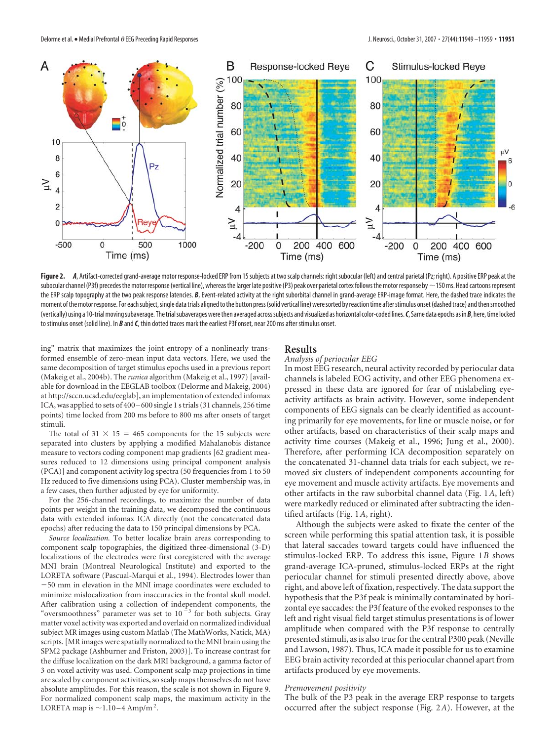

Figure 2. *A*, Artifact-corrected grand-average motor response-locked ERP from 15 subjects at two scalp channels: right subocular (left) and central parietal (Pz; right). A positive ERP peak at the subocular channel (P3f) precedes the motor response (vertical line), whereas the larger late positive (P3) peak over parietal cortex follows the motor response by  $\sim$  150 ms. Head cartoons represent the ERP scalp topography at the two peak response latencies. B, Event-related activity at the right suborbital channel in grand-average ERP-image format. Here, the dashed trace indicates the moment of the motor response. For each subject, single data trials aligned to the button press (solid vertical line) were sorted by reaction time after stimulus onset (dashed trace) and then smoothed (vertically) using a 10-trialmovingsubaverage. Thetrialsubaverageswerethen averaged acrosssubjects and visualized as horizontal color-coded lines.*C*, Same data epochs as in*B*, here,time locked to stimulus onset (solid line). In *B* and*C*, thin dotted traces mark the earliest P3f onset, near 200 ms after stimulus onset.

ing" matrix that maximizes the joint entropy of a nonlinearly transformed ensemble of zero-mean input data vectors. Here, we used the same decomposition of target stimulus epochs used in a previous report (Makeig et al., 2004b). The *runica* algorithm (Makeig et al., 1997) [available for download in the EEGLAB toolbox (Delorme and Makeig, 2004) at http://sccn.ucsd.edu/eeglab], an implementation of extended infomax ICA, was applied to sets of 400 – 600 single 1 s trials (31 channels, 256 time points) time locked from 200 ms before to 800 ms after onsets of target stimuli.

The total of  $31 \times 15 = 465$  components for the 15 subjects were separated into clusters by applying a modified Mahalanobis distance measure to vectors coding component map gradients [62 gradient measures reduced to 12 dimensions using principal component analysis (PCA)] and component activity log spectra (50 frequencies from 1 to 50 Hz reduced to five dimensions using PCA). Cluster membership was, in a few cases, then further adjusted by eye for uniformity.

For the 256-channel recordings, to maximize the number of data points per weight in the training data, we decomposed the continuous data with extended infomax ICA directly (not the concatenated data epochs) after reducing the data to 150 principal dimensions by PCA.

*Source localization.* To better localize brain areas corresponding to component scalp topographies, the digitized three-dimensional (3-D) localizations of the electrodes were first coregistered with the average MNI brain (Montreal Neurological Institute) and exported to the LORETA software (Pascual-Marqui et al., 1994). Electrodes lower than 50 mm in elevation in the MNI image coordinates were excluded to minimize mislocalization from inaccuracies in the frontal skull model. After calibration using a collection of independent components, the "oversmoothness" parameter was set to  $10^{-3}$  for both subjects. Gray matter voxel activity was exported and overlaid on normalized individual subject MR images using custom Matlab (The MathWorks, Natick, MA) scripts. [MR images were spatially normalized to the MNI brain using the SPM2 package (Ashburner and Friston, 2003)]. To increase contrast for the diffuse localization on the dark MRI background, a gamma factor of 3 on voxel activity was used. Component scalp map projections in time are scaled by component activities, so scalp maps themselves do not have absolute amplitudes. For this reason, the scale is not shown in Figure 9. For normalized component scalp maps, the maximum activity in the LORETA map is  $\sim$  1.10 – 4 Amp/m<sup>2</sup>.

# **Results**

## *Analysis of periocular EEG*

In most EEG research, neural activity recorded by periocular data channels is labeled EOG activity, and other EEG phenomena expressed in these data are ignored for fear of mislabeling eyeactivity artifacts as brain activity. However, some independent components of EEG signals can be clearly identified as accounting primarily for eye movements, for line or muscle noise, or for other artifacts, based on characteristics of their scalp maps and activity time courses (Makeig et al., 1996; Jung et al., 2000). Therefore, after performing ICA decomposition separately on the concatenated 31-channel data trials for each subject, we removed six clusters of independent components accounting for eye movement and muscle activity artifacts. Eye movements and other artifacts in the raw suborbital channel data (Fig. 1*A*, left) were markedly reduced or eliminated after subtracting the identified artifacts (Fig. 1*A*, right).

Although the subjects were asked to fixate the center of the screen while performing this spatial attention task, it is possible that lateral saccades toward targets could have influenced the stimulus-locked ERP. To address this issue, Figure 1*B* shows grand-average ICA-pruned, stimulus-locked ERPs at the right periocular channel for stimuli presented directly above, above right, and above left of fixation, respectively. The data support the hypothesis that the P3f peak is minimally contaminated by horizontal eye saccades: the P3f feature of the evoked responses to the left and right visual field target stimulus presentations is of lower amplitude when compared with the P3f response to centrally presented stimuli, as is also true for the central P300 peak (Neville and Lawson, 1987). Thus, ICA made it possible for us to examine EEG brain activity recorded at this periocular channel apart from artifacts produced by eye movements.

## *Premovement positivity*

The bulk of the P3 peak in the average ERP response to targets occurred after the subject response (Fig. 2*A*). However, at the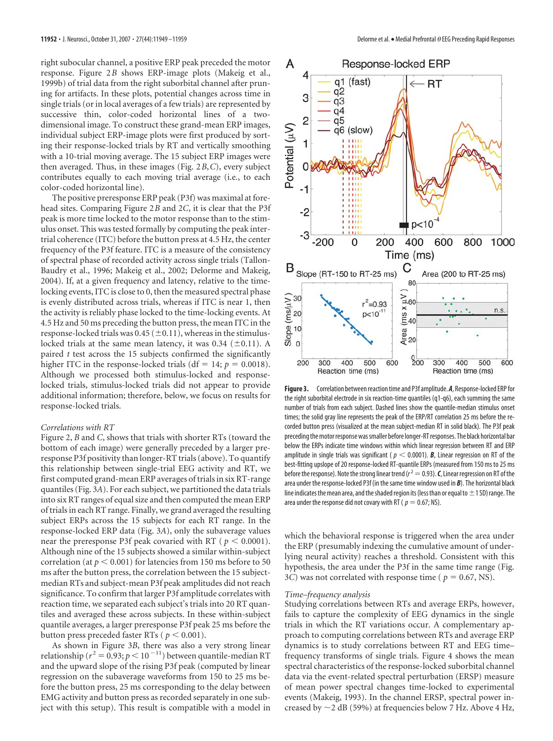right subocular channel, a positive ERP peak preceded the motor response. Figure 2*B* shows ERP-image plots (Makeig et al., 1999b) of trial data from the right suborbital channel after pruning for artifacts. In these plots, potential changes across time in single trials (or in local averages of a few trials) are represented by successive thin, color-coded horizontal lines of a twodimensional image. To construct these grand-mean ERP images, individual subject ERP-image plots were first produced by sorting their response-locked trials by RT and vertically smoothing with a 10-trial moving average. The 15 subject ERP images were then averaged. Thus, in these images (Fig. 2*B*,*C*), every subject contributes equally to each moving trial average (i.e., to each color-coded horizontal line).

The positive preresponse ERP peak (P3f) was maximal at forehead sites. Comparing Figure 2*B* and 2*C*, it is clear that the P3f peak is more time locked to the motor response than to the stimulus onset. This was tested formally by computing the peak intertrial coherence (ITC) before the button press at 4.5 Hz, the center frequency of the P3f feature. ITC is a measure of the consistency of spectral phase of recorded activity across single trials (Tallon-Baudry et al., 1996; Makeig et al., 2002; Delorme and Makeig, 2004). If, at a given frequency and latency, relative to the timelocking events, ITC is close to 0, then the measured spectral phase is evenly distributed across trials, whereas if ITC is near 1, then the activity is reliably phase locked to the time-locking events. At 4.5 Hz and 50 ms preceding the button press, the mean ITC in the response-locked trials was 0.45 ( $\pm$ 0.11), whereas in the stimuluslocked trials at the same mean latency, it was  $0.34$  ( $\pm 0.11$ ). A paired *t* test across the 15 subjects confirmed the significantly higher ITC in the response-locked trials ( $df = 14$ ;  $p = 0.0018$ ). Although we processed both stimulus-locked and responselocked trials, stimulus-locked trials did not appear to provide additional information; therefore, below, we focus on results for response-locked trials.

#### *Correlations with RT*

Figure 2, *B* and *C*, shows that trials with shorter RTs (toward the bottom of each image) were generally preceded by a larger preresponse P3f positivity than longer-RT trials (above). To quantify this relationship between single-trial EEG activity and RT, we first computed grand-mean ERP averages of trials in six RT-range quantiles (Fig. 3*A*). For each subject, we partitioned the data trials into six RT ranges of equal size and then computed the mean ERP of trials in each RT range. Finally, we grand averaged the resulting subject ERPs across the 15 subjects for each RT range. In the response-locked ERP data (Fig. 3*A*), only the subaverage values near the preresponse P3f peak covaried with RT ( $p < 0.0001$ ). Although nine of the 15 subjects showed a similar within-subject correlation (at  $p < 0.001$ ) for latencies from 150 ms before to 50 ms after the button press, the correlation between the 15 subjectmedian RTs and subject-mean P3f peak amplitudes did not reach significance. To confirm that larger P3f amplitude correlates with reaction time, we separated each subject's trials into 20 RT quantiles and averaged these across subjects. In these within-subject quantile averages, a larger preresponse P3f peak 25 ms before the button press preceded faster RTs ( $p \le 0.001$ ).

As shown in Figure 3*B*, there was also a very strong linear relationship ( $r^2 = 0.93$ ;  $p < 10^{-11}$ ) between quantile-median RT and the upward slope of the rising P3f peak (computed by linear regression on the subaverage waveforms from 150 to 25 ms before the button press, 25 ms corresponding to the delay between EMG activity and button press as recorded separately in one subject with this setup). This result is compatible with a model in



Figure 3. Correlation between reaction time and P3f amplitude. A, Response-locked ERP for the right suborbital electrode in six reaction-time quantiles (q1-q6), each summing the same number of trials from each subject. Dashed lines show the quantile-median stimulus onset times; the solid gray line represents the peak of the ERP/RT correlation 25 ms before the recorded button press (visualized at the mean subject-median RT in solid black). The P3f peak preceding the motor response was smaller before longer-RT responses. The black horizontal bar below the ERPs indicate time windows within which linear regression between RT and ERP amplitude in single trials was significant ( $p < 0.0001$ ). **B**, Linear regression on RT of the best-fitting upslope of 20 response-locked RT-quantile ERPs (measured from 150 ms to 25 ms before the response). Note the strong linear trend ( $r^2$   $=$  0.93).  $\boldsymbol{\mathcal{C}}$ , Linear regression on RT of the area under the response-locked P3f (in the same time window used in *B*). The horizontal black line indicates the mean area, and the shaded region its (less than or equal to  $\pm$  1 SD) range. The area under the response did not covary with RT ( $p = 0.67$ ; NS).

which the behavioral response is triggered when the area under the ERP (presumably indexing the cumulative amount of underlying neural activity) reaches a threshold. Consistent with this hypothesis, the area under the P3f in the same time range (Fig. 3*C*) was not correlated with response time ( $p = 0.67$ , NS).

#### *Time–frequency analysis*

Studying correlations between RTs and average ERPs, however, fails to capture the complexity of EEG dynamics in the single trials in which the RT variations occur. A complementary approach to computing correlations between RTs and average ERP dynamics is to study correlations between RT and EEG time– frequency transforms of single trials. Figure 4 shows the mean spectral characteristics of the response-locked suborbital channel data via the event-related spectral perturbation (ERSP) measure of mean power spectral changes time-locked to experimental events (Makeig, 1993). In the channel ERSP, spectral power increased by  $\sim$  2 dB (59%) at frequencies below 7 Hz. Above 4 Hz,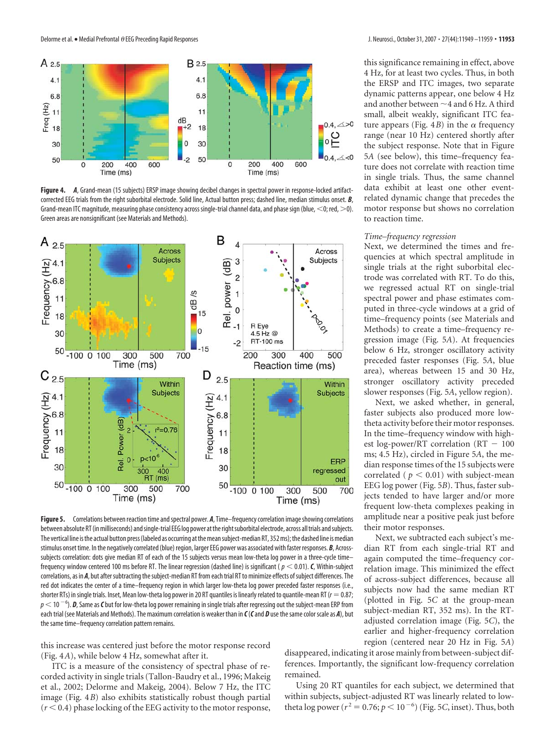Delorme et al. • Medial Prefrontal *O* EEG Preceding Rapid Responses J. Neurosci., October 31, 2007 • 27(44):11949 –11959 • 11953



**Figure 4.** *A*, Grand-mean (15 subjects) ERSP image showing decibel changes in spectral power in response-locked artifactcorrected EEG trials from the right suborbital electrode. Solid line, Actual button press; dashed line, median stimulus onset. *B*, Grand-mean ITC magnitude, measuring phase consistency across single-trial channel data, and phase sign (blue,  $<$ 0; red,  $>$ 0). Green areas are nonsignificant (see Materials and Methods).



Figure 5. Correlations between reaction time and spectral power. A, Time–frequency correlation image showing correlations between absolute RT(inmilliseconds) andsingle-trial EEG log power attherightsuborbital electrode, across alltrials andsubjects. The vertical line is the actual button press (labeled as occurring at the mean subject-median RT, 352 ms); the dashed line is median stimulus onset time. In the negatively correlated (blue) region, larger EEG power was associated with faster responses. *B*, Acrosssubjects correlation: dots give median RT of each of the 15 subjects versus mean low-theta log power in a three-cycle time– frequency window centered 100 ms before RT. The linear regression (dashed line) is significant ( $p < 0.01$ ).  $C$ , Within-subject correlations, as in *A*, but after subtracting the subject-median RT from each trial RT to minimize effects of subject differences. The red dot indicates the center of a time–frequency region in which larger low-theta log power preceded faster responses (i.e., shorter RTs) in single trials. Inset, Mean low-theta log power in 20 RT quantiles is linearly related to quantile-mean RT ( $r = 0.87$ ;  $p$   $<$  10  $^{-6}$ ).  $\bm{D}$ , Same as  $\bm{C}$  but for low-theta log power remaining in single trials after regressing out the subject-mean ERP from each trial (see Materials and Methods). The maximum correlation is weaker than in *C*(*C*and *D* use the same color scale as *A*), but the same time–frequency correlation pattern remains.

this increase was centered just before the motor response record (Fig. 4*A*), while below 4 Hz, somewhat after it.

ITC is a measure of the consistency of spectral phase of recorded activity in single trials (Tallon-Baudry et al., 1996; Makeig et al., 2002; Delorme and Makeig, 2004). Below 7 Hz, the ITC image (Fig. 4*B*) also exhibits statistically robust though partial  $(r < 0.4)$  phase locking of the EEG activity to the motor response, this significance remaining in effect, above 4 Hz, for at least two cycles. Thus, in both the ERSP and ITC images, two separate dynamic patterns appear, one below 4 Hz and another between  ${\sim}$  4 and 6 Hz. A third small, albeit weakly, significant ITC feature appears (Fig.  $4B$ ) in the  $\alpha$  frequency range (near 10 Hz) centered shortly after the subject response. Note that in Figure 5*A* (see below), this time–frequency feature does not correlate with reaction time in single trials. Thus, the same channel data exhibit at least one other eventrelated dynamic change that precedes the motor response but shows no correlation to reaction time.

#### *Time–frequency regression*

Next, we determined the times and frequencies at which spectral amplitude in single trials at the right suborbital electrode was correlated with RT. To do this, we regressed actual RT on single-trial spectral power and phase estimates computed in three-cycle windows at a grid of time–frequency points (see Materials and Methods) to create a time–frequency regression image (Fig. 5*A*). At frequencies below 6 Hz, stronger oscillatory activity preceded faster responses (Fig. 5*A*, blue area), whereas between 15 and 30 Hz, stronger oscillatory activity preceded slower responses (Fig. 5*A*, yellow region).

Next, we asked whether, in general, faster subjects also produced more lowtheta activity before their motor responses. In the time–frequency window with highest log-power/RT correlation ( $RT - 100$ ms; 4.5 Hz), circled in Figure 5*A*, the median response times of the 15 subjects were correlated ( $p < 0.01$ ) with subject-mean EEG log power (Fig. 5*B*). Thus, faster subjects tended to have larger and/or more frequent low-theta complexes peaking in amplitude near a positive peak just before their motor responses.

Next, we subtracted each subject's median RT from each single-trial RT and again computed the time–frequency correlation image. This minimized the effect of across-subject differences, because all subjects now had the same median RT (plotted in Fig. 5*C* at the group-mean subject-median RT, 352 ms). In the RTadjusted correlation image (Fig. 5*C*), the earlier and higher-frequency correlation region (centered near 20 Hz in Fig. 5*A*)

disappeared, indicating it arose mainly from between-subject differences. Importantly, the significant low-frequency correlation remained.

Using 20 RT quantiles for each subject, we determined that within subjects, subject-adjusted RT was linearly related to lowtheta log power ( $r^2 = 0.76; p < 10^{-6}$ ) (Fig. 5*C*, inset). Thus, both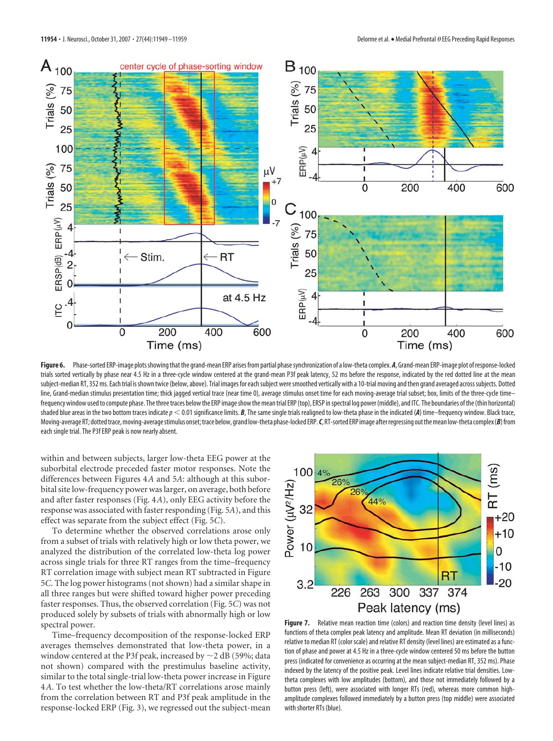

Figure 6. Phase-sorted ERP-image plots showing that the grand-mean ERP arises from partial phase synchronization of a low-theta complex. *A*, Grand-mean ERP-image plot of response-locked trials sorted vertically by phase near 4.5 Hz in a three-cycle window centered at the grand-mean P3f peak latency, 52 ms before the response, indicated by the red dotted line at the mean subject-median RT, 352 ms. Each trial is shown twice (below, above). Trial images for each subject were smoothed vertically with a 10-trial moving and then grand averaged across subjects. Dotted line, Grand-median stimulus presentation time; thick jagged vertical trace (near time 0), average stimulus onset time for each moving-average trial subset; box, limits of the three-cycle timefrequency window used to compute phase. The three traces below the ERP image show the mean trial ERP (top), ERSP in spectral log power (middle), and ITC. The boundaries of the (thin horizontal) shaded blue areas in the two bottom traces indicate  $p < 0.01$  significance limits. **B**, The same single trials realigned to low-theta phase in the indicated (**A**) time–frequency window. Black trace, Moving-average RT; dottedtrace,moving-averagestimulus onset;trace below, grand low-theta phase-locked ERP.*C*, RT-sorted ERP image afterregressing outthemean low-theta complex(*B*)from each single trial. The P3f ERP peak is now nearly absent.

within and between subjects, larger low-theta EEG power at the suborbital electrode preceded faster motor responses. Note the differences between Figures 4*A* and 5*A*: although at this suborbital site low-frequency power was larger, on average, both before and after faster responses (Fig. 4*A*), only EEG activity before the response was associated with faster responding (Fig. 5*A*), and this effect was separate from the subject effect (Fig. 5*C*).

To determine whether the observed correlations arose only from a subset of trials with relatively high or low theta power, we analyzed the distribution of the correlated low-theta log power across single trials for three RT ranges from the time–frequency RT correlation image with subject mean RT subtracted in Figure 5*C*. The log power histograms (not shown) had a similar shape in all three ranges but were shifted toward higher power preceding faster responses. Thus, the observed correlation (Fig. 5*C*) was not produced solely by subsets of trials with abnormally high or low spectral power.

Time–frequency decomposition of the response-locked ERP averages themselves demonstrated that low-theta power, in a window centered at the P3f peak, increased by  ${\sim}$ 2 dB (59%; data not shown) compared with the prestimulus baseline activity, similar to the total single-trial low-theta power increase in Figure 4*A*. To test whether the low-theta/RT correlations arose mainly from the correlation between RT and P3f peak amplitude in the response-locked ERP (Fig. 3), we regressed out the subject-mean



**Figure 7.** Relative mean reaction time (colors) and reaction time density (level lines) as functions of theta complex peak latency and amplitude. Mean RT deviation (in milliseconds) relative to median RT (color scale) and relative RT density (level lines) are estimated as a function of phase and power at 4.5 Hz in a three-cycle window centered 50 ms before the button press (indicated for convenience as occurring at the mean subject-median RT, 352 ms). Phase indexed by the latency of the positive peak. Level lines indicate relative trial densities. Lowtheta complexes with low amplitudes (bottom), and those not immediately followed by a button press (left), were associated with longer RTs (red), whereas more common highamplitude complexes followed immediately by a button press (top middle) were associated with shorter RTs (blue).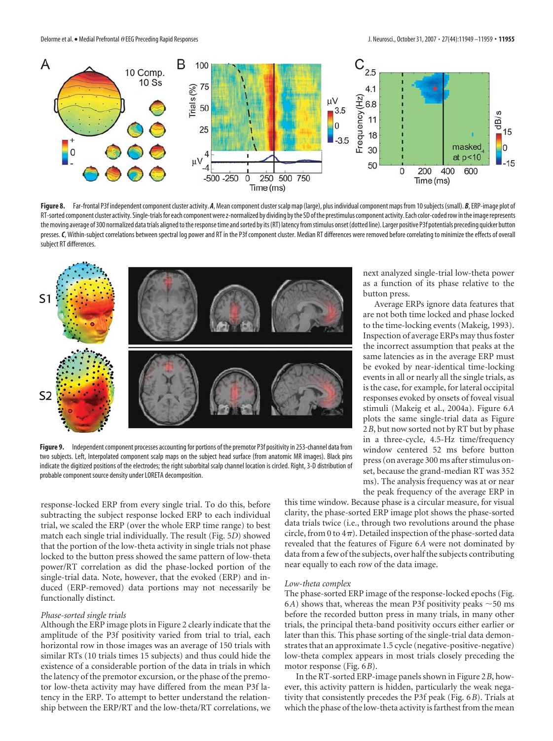

Figure 8. Far-frontal P3f independent component cluster activity. *A*, Mean component cluster scalp map (large), plus individual component maps from 10 subjects (small). *B*, ERP-image plot of RT-sorted component cluster activity. Single-trials for each component were z-normalized by dividing by the SD of the prestimulus component activity. Each color-coded row in the image represents the moving average of 300 normalized data trials aligned to the response time and sorted by its (RT) latency from stimulus onset (dotted line). Larger positive P3f potentials preceding quicker button presses. C, Within-subject correlations between spectral log power and RT in the P3f component cluster. Median RT differences were removed before correlating to minimize the effects of overall subject RT differences.



**Figure 9.** Independent component processes accounting for portions of the premotor P3f positivity in 253-channel data from two subjects. Left, Interpolated component scalp maps on the subject head surface (from anatomic MR images). Black pins indicate the digitized positions of the electrodes; the right suborbital scalp channel location is circled. Right, 3-D distribution of probable component source density under LORETA decomposition.

response-locked ERP from every single trial. To do this, before subtracting the subject response locked ERP to each individual trial, we scaled the ERP (over the whole ERP time range) to best match each single trial individually. The result (Fig. 5*D*) showed that the portion of the low-theta activity in single trials not phase locked to the button press showed the same pattern of low-theta power/RT correlation as did the phase-locked portion of the single-trial data. Note, however, that the evoked (ERP) and induced (ERP-removed) data portions may not necessarily be functionally distinct.

## *Phase-sorted single trials*

Although the ERP image plots in Figure 2 clearly indicate that the amplitude of the P3f positivity varied from trial to trial, each horizontal row in those images was an average of 150 trials with similar RTs (10 trials times 15 subjects) and thus could hide the existence of a considerable portion of the data in trials in which the latency of the premotor excursion, or the phase of the premotor low-theta activity may have differed from the mean P3f latency in the ERP. To attempt to better understand the relationship between the ERP/RT and the low-theta/RT correlations, we

next analyzed single-trial low-theta power as a function of its phase relative to the button press.

Average ERPs ignore data features that are not both time locked and phase locked to the time-locking events (Makeig, 1993). Inspection of average ERPs may thus foster the incorrect assumption that peaks at the same latencies as in the average ERP must be evoked by near-identical time-locking events in all or nearly all the single trials, as is the case, for example, for lateral occipital responses evoked by onsets of foveal visual stimuli (Makeig et al., 2004a). Figure 6*A* plots the same single-trial data as Figure 2*B*, but now sorted not by RT but by phase in a three-cycle, 4.5-Hz time/frequency window centered 52 ms before button press (on average 300 ms after stimulus onset, because the grand-median RT was 352 ms). The analysis frequency was at or near the peak frequency of the average ERP in

this time window. Because phase is a circular measure, for visual clarity, the phase-sorted ERP image plot shows the phase-sorted data trials twice (i.e., through two revolutions around the phase circle, from 0 to  $4\pi$ ). Detailed inspection of the phase-sorted data revealed that the features of Figure 6*A* were not dominated by data from a few of the subjects, over half the subjects contributing near equally to each row of the data image.

#### *Low-theta complex*

The phase-sorted ERP image of the response-locked epochs (Fig. 6A) shows that, whereas the mean P3f positivity peaks  $\sim$  50 ms before the recorded button press in many trials, in many other trials, the principal theta-band positivity occurs either earlier or later than this. This phase sorting of the single-trial data demonstrates that an approximate 1.5 cycle (negative-positive-negative) low-theta complex appears in most trials closely preceding the motor response (Fig. 6*B*).

In the RT-sorted ERP-image panels shown in Figure 2*B*, however, this activity pattern is hidden, particularly the weak negativity that consistently precedes the P3f peak (Fig. 6*B*). Trials at which the phase of the low-theta activity is farthest from the mean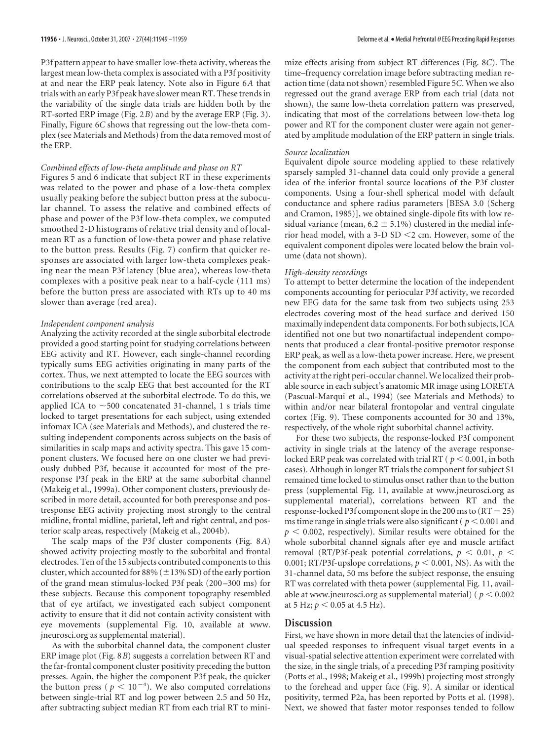P3f pattern appear to have smaller low-theta activity, whereas the largest mean low-theta complex is associated with a P3f positivity at and near the ERP peak latency. Note also in Figure 6*A* that trials with an early P3f peak have slower mean RT. These trends in the variability of the single data trials are hidden both by the RT-sorted ERP image (Fig. 2*B*) and by the average ERP (Fig. 3). Finally, Figure 6*C* shows that regressing out the low-theta complex (see Materials and Methods) from the data removed most of the ERP.

## *Combined effects of low-theta amplitude and phase on RT*

Figures 5 and 6 indicate that subject RT in these experiments was related to the power and phase of a low-theta complex usually peaking before the subject button press at the subocular channel. To assess the relative and combined effects of phase and power of the P3f low-theta complex, we computed smoothed 2-D histograms of relative trial density and of localmean RT as a function of low-theta power and phase relative to the button press. Results (Fig. 7) confirm that quicker responses are associated with larger low-theta complexes peaking near the mean P3f latency (blue area), whereas low-theta complexes with a positive peak near to a half-cycle (111 ms) before the button press are associated with RTs up to 40 ms slower than average (red area).

## *Independent component analysis*

Analyzing the activity recorded at the single suborbital electrode provided a good starting point for studying correlations between EEG activity and RT. However, each single-channel recording typically sums EEG activities originating in many parts of the cortex. Thus, we next attempted to locate the EEG sources with contributions to the scalp EEG that best accounted for the RT correlations observed at the suborbital electrode. To do this, we applied ICA to  $\sim$ 500 concatenated 31-channel, 1 s trials time locked to target presentations for each subject, using extended infomax ICA (see Materials and Methods), and clustered the resulting independent components across subjects on the basis of similarities in scalp maps and activity spectra. This gave 15 component clusters. We focused here on one cluster we had previously dubbed P3f, because it accounted for most of the preresponse P3f peak in the ERP at the same suborbital channel (Makeig et al., 1999a). Other component clusters, previously described in more detail, accounted for both preresponse and postresponse EEG activity projecting most strongly to the central midline, frontal midline, parietal, left and right central, and posterior scalp areas, respectively (Makeig et al., 2004b).

The scalp maps of the P3f cluster components (Fig. 8*A*) showed activity projecting mostly to the suborbital and frontal electrodes. Ten of the 15 subjects contributed components to this cluster, which accounted for 88% ( $\pm$ 13% SD) of the early portion of the grand mean stimulus-locked P3f peak (200 –300 ms) for these subjects. Because this component topography resembled that of eye artifact, we investigated each subject component activity to ensure that it did not contain activity consistent with eye movements (supplemental Fig. 10, available at www. jneurosci.org as supplemental material).

As with the suborbital channel data, the component cluster ERP image plot (Fig. 8*B*) suggests a correlation between RT and the far-frontal component cluster positivity preceding the button presses. Again, the higher the component P3f peak, the quicker the button press ( $p \leq 10^{-4}$ ). We also computed correlations between single-trial RT and log power between 2.5 and 50 Hz, after subtracting subject median RT from each trial RT to minimize effects arising from subject RT differences (Fig. 8*C*). The time–frequency correlation image before subtracting median reaction time (data not shown) resembled Figure 5*C*. When we also regressed out the grand average ERP from each trial (data not shown), the same low-theta correlation pattern was preserved, indicating that most of the correlations between low-theta log power and RT for the component cluster were again not generated by amplitude modulation of the ERP pattern in single trials.

#### *Source localization*

Equivalent dipole source modeling applied to these relatively sparsely sampled 31-channel data could only provide a general idea of the inferior frontal source locations of the P3f cluster components. Using a four-shell spherical model with default conductance and sphere radius parameters [BESA 3.0 (Scherg and Cramon, 1985)], we obtained single-dipole fits with low residual variance (mean,  $6.2 \pm 5.1\%$ ) clustered in the medial inferior head model, with a 3-D SD  $\leq$  2 cm. However, some of the equivalent component dipoles were located below the brain volume (data not shown).

#### *High-density recordings*

To attempt to better determine the location of the independent components accounting for periocular P3f activity, we recorded new EEG data for the same task from two subjects using 253 electrodes covering most of the head surface and derived 150 maximally independent data components. For both subjects, ICA identified not one but two nonartifactual independent components that produced a clear frontal-positive premotor response ERP peak, as well as a low-theta power increase. Here, we present the component from each subject that contributed most to the activity at the right peri-occular channel.We localized their probable source in each subject's anatomic MR image using LORETA (Pascual-Marqui et al., 1994) (see Materials and Methods) to within and/or near bilateral frontopolar and ventral cingulate cortex (Fig. 9). These components accounted for 30 and 13%, respectively, of the whole right suborbital channel activity.

For these two subjects, the response-locked P3f component activity in single trials at the latency of the average responselocked ERP peak was correlated with trial RT ( $p \le 0.001$ , in both cases). Although in longer RT trials the component for subject S1 remained time locked to stimulus onset rather than to the button press (supplemental Fig. 11, available at www.jneurosci.org as supplemental material), correlations between RT and the response-locked P3f component slope in the 200 ms to  $(RT - 25)$ ms time range in single trials were also significant ( $p \le 0.001$  and  $p < 0.002$ , respectively). Similar results were obtained for the whole suborbital channel signals after eye and muscle artifact removal (RT/P3f-peak potential correlations,  $p \le 0.01$ ,  $p \le$ 0.001; RT/P3f-upslope correlations,  $p \le 0.001$ , NS). As with the 31-channel data, 50 ms before the subject response, the ensuing RT was correlated with theta power (supplemental Fig. 11, available at www.jneurosci.org as supplemental material) ( $p < 0.002$ ) at 5 Hz;  $p < 0.05$  at 4.5 Hz).

# **Discussion**

First, we have shown in more detail that the latencies of individual speeded responses to infrequent visual target events in a visual-spatial selective attention experiment were correlated with the size, in the single trials, of a preceding P3f ramping positivity (Potts et al., 1998; Makeig et al., 1999b) projecting most strongly to the forehead and upper face (Fig. 9). A similar or identical positivity, termed P2a, has been reported by Potts et al. (1998). Next, we showed that faster motor responses tended to follow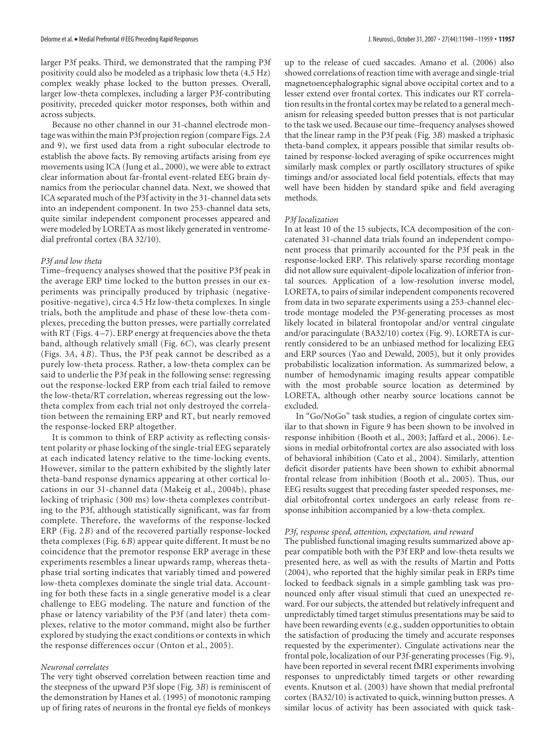larger P3f peaks. Third, we demonstrated that the ramping P3f positivity could also be modeled as a triphasic low theta (4.5 Hz) complex weakly phase locked to the button presses. Overall, larger low-theta complexes, including a larger P3f-contributing positivity, preceded quicker motor responses, both within and across subjects.

Because no other channel in our 31-channel electrode montage was within the main P3f projection region (compare Figs. 2*A* and 9), we first used data from a right subocular electrode to establish the above facts. By removing artifacts arising from eye movements using ICA (Jung et al., 2000), we were able to extract clear information about far-frontal event-related EEG brain dynamics from the periocular channel data. Next, we showed that ICA separated much of the P3f activity in the 31-channel data sets into an independent component. In two 253-channel data sets, quite similar independent component processes appeared and were modeled by LORETA as most likely generated in ventromedial prefrontal cortex (BA 32/10).

## *P3f and low theta*

Time–frequency analyses showed that the positive P3f peak in the average ERP time locked to the button presses in our experiments was principally produced by triphasic (negativepositive-negative), circa 4.5 Hz low-theta complexes. In single trials, both the amplitude and phase of these low-theta complexes, preceding the button presses, were partially correlated with RT (Figs. 4 –7). ERP energy at frequencies above the theta band, although relatively small (Fig. 6*C*), was clearly present (Figs. 3*A*, 4*B*). Thus, the P3f peak cannot be described as a purely low-theta process. Rather, a low-theta complex can be said to underlie the P3f peak in the following sense: regressing out the response-locked ERP from each trial failed to remove the low-theta/RT correlation, whereas regressing out the lowtheta complex from each trial not only destroyed the correlation between the remaining ERP and RT, but nearly removed the response-locked ERP altogether.

It is common to think of ERP activity as reflecting consistent polarity or phase locking of the single-trial EEG separately at each indicated latency relative to the time-locking events. However, similar to the pattern exhibited by the slightly later theta-band response dynamics appearing at other cortical locations in our 31-channel data (Makeig et al., 2004b), phase locking of triphasic (300 ms) low-theta complexes contributing to the P3f, although statistically significant, was far from complete. Therefore, the waveforms of the response-locked ERP (Fig. 2*B*) and of the recovered partially response-locked theta complexes (Fig. 6*B*) appear quite different. It must be no coincidence that the premotor response ERP average in these experiments resembles a linear upwards ramp, whereas thetaphase trial sorting indicates that variably timed and powered low-theta complexes dominate the single trial data. Accounting for both these facts in a single generative model is a clear challenge to EEG modeling. The nature and function of the phase or latency variability of the P3f (and later) theta complexes, relative to the motor command, might also be further explored by studying the exact conditions or contexts in which the response differences occur (Onton et al., 2005).

#### *Neuronal correlates*

The very tight observed correlation between reaction time and the steepness of the upward P3f slope (Fig. 3*B*) is reminiscent of the demonstration by Hanes et al. (1995) of monotonic ramping up of firing rates of neurons in the frontal eye fields of monkeys

up to the release of cued saccades. Amano et al. (2006) also showed correlations of reaction time with average and single-trial magnetoencephalographic signal above occipital cortex and to a lesser extend over frontal cortex. This indicates our RT correlation results in the frontal cortex may be related to a general mechanism for releasing speeded button presses that is not particular to the task we used. Because our time–frequency analyses showed that the linear ramp in the P3f peak (Fig. 3*B*) masked a triphasic theta-band complex, it appears possible that similar results obtained by response-locked averaging of spike occurrences might similarly mask complex or partly oscillatory structures of spike timings and/or associated local field potentials, effects that may well have been hidden by standard spike and field averaging methods.

## *P3f localization*

In at least 10 of the 15 subjects, ICA decomposition of the concatenated 31-channel data trials found an independent component process that primarily accounted for the P3f peak in the response-locked ERP. This relatively sparse recording montage did not allow sure equivalent-dipole localization of inferior frontal sources. Application of a low-resolution inverse model, LORETA, to pairs of similar independent components recovered from data in two separate experiments using a 253-channel electrode montage modeled the P3f-generating processes as most likely located in bilateral frontopolar and/or ventral cingulate and/or paracingulate (BA32/10) cortex (Fig. 9). LORETA is currently considered to be an unbiased method for localizing EEG and ERP sources (Yao and Dewald, 2005), but it only provides probabilistic localization information. As summarized below, a number of hemodynamic imaging results appear compatible with the most probable source location as determined by LORETA, although other nearby source locations cannot be excluded.

In "Go/NoGo" task studies, a region of cingulate cortex similar to that shown in Figure 9 has been shown to be involved in response inhibition (Booth et al., 2003; Jaffard et al., 2006). Lesions in medial orbitofrontal cortex are also associated with loss of behavioral inhibition (Cato et al., 2004). Similarly, attention deficit disorder patients have been shown to exhibit abnormal frontal release from inhibition (Booth et al., 2005). Thus, our EEG results suggest that preceding faster speeded responses, medial orbitofrontal cortex undergoes an early release from response inhibition accompanied by a low-theta complex.

# *P3f, response speed, attention, expectation, and reward*

The published functional imaging results summarized above appear compatible both with the P3f ERP and low-theta results we presented here, as well as with the results of Martin and Potts (2004), who reported that the highly similar peak in ERPs time locked to feedback signals in a simple gambling task was pronounced only after visual stimuli that cued an unexpected reward. For our subjects, the attended but relatively infrequent and unpredictably timed target stimulus presentations may be said to have been rewarding events (e.g., sudden opportunities to obtain the satisfaction of producing the timely and accurate responses requested by the experimenter). Cingulate activations near the frontal pole, localization of our P3f-generating processes (Fig. 9), have been reported in several recent fMRI experiments involving responses to unpredictably timed targets or other rewarding events. Knutson et al. (2003) have shown that medial prefrontal cortex (BA32/10) is activated to quick, winning button presses. A similar locus of activity has been associated with quick task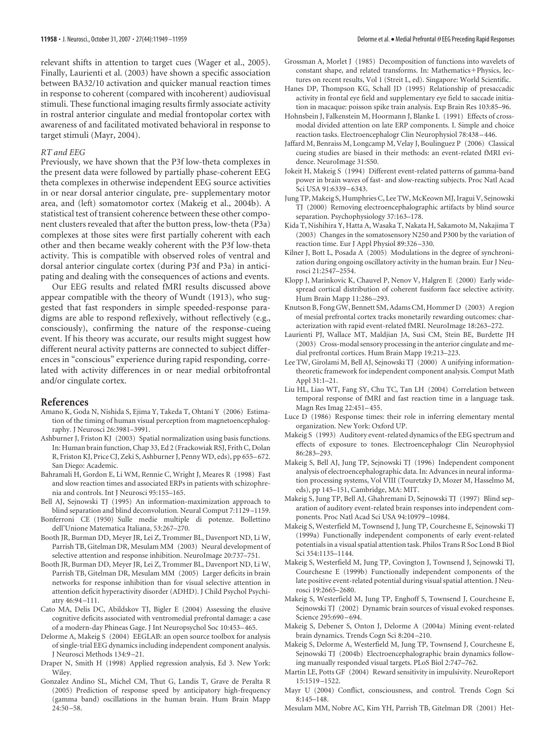relevant shifts in attention to target cues (Wager et al., 2005). Finally, Laurienti et al. (2003) have shown a specific association between BA32/10 activation and quicker manual reaction times in response to coherent (compared with incoherent) audiovisual stimuli. These functional imaging results firmly associate activity in rostral anterior cingulate and medial frontopolar cortex with awareness of and facilitated motivated behavioral in response to target stimuli (Mayr, 2004).

#### *RT and EEG*

Previously, we have shown that the P3f low-theta complexes in the present data were followed by partially phase-coherent EEG theta complexes in otherwise independent EEG source activities in or near dorsal anterior cingulate, pre- supplementary motor area, and (left) somatomotor cortex (Makeig et al., 2004b). A statistical test of transient coherence between these other component clusters revealed that after the button press, low-theta (P3a) complexes at those sites were first partially coherent with each other and then became weakly coherent with the P3f low-theta activity. This is compatible with observed roles of ventral and dorsal anterior cingulate cortex (during P3f and P3a) in anticipating and dealing with the consequences of actions and events.

Our EEG results and related fMRI results discussed above appear compatible with the theory of Wundt (1913), who suggested that fast responders in simple speeded-response paradigms are able to respond reflexively, without reflectively (e.g., consciously), confirming the nature of the response-cueing event. If his theory was accurate, our results might suggest how different neural activity patterns are connected to subject differences in "conscious" experience during rapid responding, correlated with activity differences in or near medial orbitofrontal and/or cingulate cortex.

#### **References**

- Amano K, Goda N, Nishida S, Ejima Y, Takeda T, Ohtani Y (2006) Estimation of the timing of human visual perception from magnetoencephalography. J Neurosci 26:3981–3991.
- Ashburner J, Friston KJ (2003) Spatial normalization using basis functions. In: Human brain function, Chap 33, Ed 2 (Frackowiak RSJ, Frith C, Dolan R, Friston KJ, Price CJ, Zeki S, Ashburner J, Penny WD, eds), pp 655–672. San Diego: Academic.
- Bahramali H, Gordon E, Li WM, Rennie C, Wright J, Meares R (1998) Fast and slow reaction times and associated ERPs in patients with schizophrenia and controls. Int J Neurosci 95:155–165.
- Bell AJ, Sejnowski TJ (1995) An information-maximization approach to blind separation and blind deconvolution. Neural Comput 7:1129 –1159.
- Bonferroni CE (1950) Sulle medie multiple di potenze. Bollettino dell'Unione Matematica Italiana, 53:267–270.
- Booth JR, Burman DD, Meyer JR, Lei Z, Trommer BL, Davenport ND, Li W, Parrish TB, Gitelman DR, Mesulam MM (2003) Neural development of selective attention and response inhibition. NeuroImage 20:737–751.
- Booth JR, Burman DD, Meyer JR, Lei Z, Trommer BL, Davenport ND, Li W, Parrish TB, Gitelman DR, Mesulam MM (2005) Larger deficits in brain networks for response inhibition than for visual selective attention in attention deficit hyperactivity disorder (ADHD). J Child Psychol Psychiatry 46:94 –111.
- Cato MA, Delis DC, Abildskov TJ, Bigler E (2004) Assessing the elusive cognitive deficits associated with ventromedial prefrontal damage: a case of a modern-day Phineas Gage. J Int Neuropsychol Soc 10:453–465.
- Delorme A, Makeig S (2004) EEGLAB: an open source toolbox for analysis of single-trial EEG dynamics including independent component analysis. J Neurosci Methods 134:9 –21.
- Draper N, Smith H (1998) Applied regression analysis, Ed 3. New York: Wiley.
- Gonzalez Andino SL, Michel CM, Thut G, Landis T, Grave de Peralta R (2005) Prediction of response speed by anticipatory high-frequency (gamma band) oscillations in the human brain. Hum Brain Mapp  $24:50 - 58.$
- Grossman A, Morlet J (1985) Decomposition of functions into wavelets of constant shape, and related transforms. In: Mathematics+Physics, lectures on recent results, Vol 1 (Streit L, ed). Singapore: World Scientific.
- Hanes DP, Thompson KG, Schall JD (1995) Relationship of presaccadic activity in frontal eye field and supplementary eye field to saccade initiation in macaque: poisson spike train analysis. Exp Brain Res 103:85–96.
- Hohnsbein J, Falkenstein M, Hoormann J, Blanke L (1991) Effects of crossmodal divided attention on late ERP components. I. Simple and choice reaction tasks. Electroencephalogr Clin Neurophysiol 78:438 –446.
- Jaffard M, Benraiss M, Longcamp M, Velay J, Boulinguez P (2006) Classical cueing studies are biased in their methods: an event-related fMRI evidence. NeuroImage 31:S50.
- Jokeit H, Makeig S (1994) Different event-related patterns of gamma-band power in brain waves of fast- and slow-reacting subjects. Proc Natl Acad Sci USA 91:6339 –6343.
- Jung TP, Makeig S, Humphries C, Lee TW, McKeown MJ, Iragui V, Sejnowski TJ (2000) Removing electroencephalographic artifacts by blind source separation. Psychophysiology 37:163–178.
- Kida T, Nishihira Y, Hatta A, Wasaka T, Nakata H, Sakamoto M, Nakajima T (2003) Changes in the somatosensory N250 and P300 by the variation of reaction time. Eur J Appl Physiol 89:326 –330.
- Kilner J, Bott L, Posada A (2005) Modulations in the degree of synchronization during ongoing oscillatory activity in the human brain. Eur J Neurosci 21:2547–2554.
- Klopp J, Marinkovic K, Chauvel P, Nenov V, Halgren E (2000) Early widespread cortical distribution of coherent fusiform face selective activity. Hum Brain Mapp 11:286 –293.
- Knutson B, Fong GW, Bennett SM, Adams CM, Hommer D (2003) A region of mesial prefrontal cortex tracks monetarily rewarding outcomes: characterization with rapid event-related fMRI. NeuroImage 18:263–272.
- Laurienti PJ, Wallace MT, Maldjian JA, Susi CM, Stein BE, Burdette JH (2003) Cross-modal sensory processing in the anterior cingulate and medial prefrontal cortices. Hum Brain Mapp 19:213–223.
- Lee TW, Girolami M, Bell AJ, Sejnowski TJ (2000) A unifying informationtheoretic framework for independent component analysis. Comput Math Appl 31:1–21.
- Liu HL, Liao WT, Fang SY, Chu TC, Tan LH (2004) Correlation between temporal response of fMRI and fast reaction time in a language task. Magn Res Imag 22:451–455.
- Luce D (1986) Response times: their role in inferring elementary mental organization. New York: Oxford UP.
- Makeig S (1993) Auditory event-related dynamics of the EEG spectrum and effects of exposure to tones. Electroencephalogr Clin Neurophysiol 86:283–293.
- Makeig S, Bell AJ, Jung TP, Sejnowski TJ (1996) Independent component analysis of electroencephalographic data. In: Advances in neural information processing systems, Vol VIII (Touretzky D, Mozer M, Hasselmo M, eds), pp 145–151, Cambridge, MA: MIT.
- Makeig S, Jung TP, Bell AJ, Ghahremani D, Sejnowski TJ (1997) Blind separation of auditory event-related brain responses into independent components. Proc Natl Acad Sci USA 94:10979 –10984.
- Makeig S, Westerfield M, Townsend J, Jung TP, Courchesne E, Sejnowski TJ (1999a) Functionally independent components of early event-related potentials in a visual spatial attention task. Philos Trans R Soc Lond B Biol Sci 354:1135–1144.
- Makeig S, Westerfield M, Jung TP, Covington J, Townsend J, Sejnowski TJ, Courchesne E (1999b) Functionally independent components of the late positive event-related potential during visual spatial attention. J Neurosci 19:2665–2680.
- Makeig S, Westerfield M, Jung TP, Enghoff S, Townsend J, Courchesne E, Sejnowski TJ (2002) Dynamic brain sources of visual evoked responses. Science 295:690 –694.
- Makeig S, Debener S, Onton J, Delorme A (2004a) Mining event-related brain dynamics. Trends Cogn Sci 8:204 –210.
- Makeig S, Delorme A, Westerfield M, Jung TP, Townsend J, Courchesne E, Sejnowski TJ (2004b) Electroencephalographic brain dynamics following manually responded visual targets. PLoS Biol 2:747–762.
- Martin LE, Potts GF (2004) Reward sensitivity in impulsivity. NeuroReport 15:1519 –1522.
- Mayr U (2004) Conflict, consciousness, and control. Trends Cogn Sci 8:145–148.
- Mesulam MM, Nobre AC, Kim YH, Parrish TB, Gitelman DR (2001) Het-